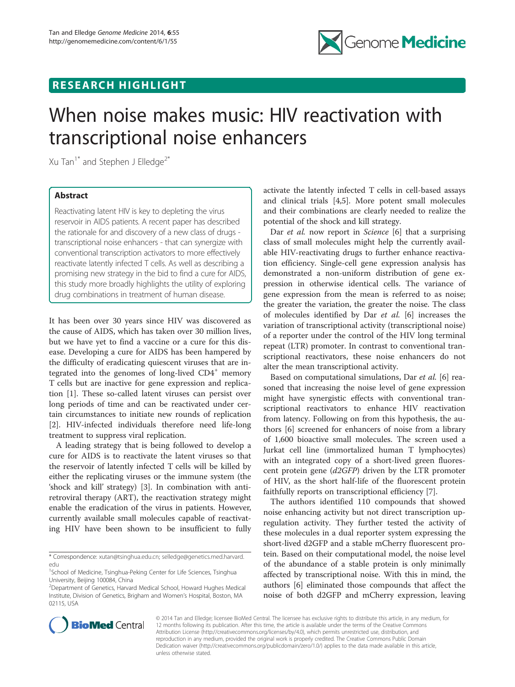# RESEARCH HIGHLIGHT



# When noise makes music: HIV reactivation with transcriptional noise enhancers

Xu Tan<sup>1\*</sup> and Stephen J Elledge<sup>2\*</sup>

## Abstract

Reactivating latent HIV is key to depleting the virus reservoir in AIDS patients. A recent paper has described the rationale for and discovery of a new class of drugs transcriptional noise enhancers - that can synergize with conventional transcription activators to more effectively reactivate latently infected T cells. As well as describing a promising new strategy in the bid to find a cure for AIDS, this study more broadly highlights the utility of exploring drug combinations in treatment of human disease.

It has been over 30 years since HIV was discovered as the cause of AIDS, which has taken over 30 million lives, but we have yet to find a vaccine or a cure for this disease. Developing a cure for AIDS has been hampered by the difficulty of eradicating quiescent viruses that are integrated into the genomes of long-lived  $CD4^+$  memory T cells but are inactive for gene expression and replication [\[1](#page-1-0)]. These so-called latent viruses can persist over long periods of time and can be reactivated under certain circumstances to initiate new rounds of replication [[2\]](#page-1-0). HIV-infected individuals therefore need life-long treatment to suppress viral replication.

A leading strategy that is being followed to develop a cure for AIDS is to reactivate the latent viruses so that the reservoir of latently infected T cells will be killed by either the replicating viruses or the immune system (the 'shock and kill' strategy) [[3\]](#page-1-0). In combination with antiretroviral therapy (ART), the reactivation strategy might enable the eradication of the virus in patients. However, currently available small molecules capable of reactivating HIV have been shown to be insufficient to fully activate the latently infected T cells in cell-based assays and clinical trials [\[4,5](#page-1-0)]. More potent small molecules and their combinations are clearly needed to realize the potential of the shock and kill strategy.

Dar et al. now report in Science [[6\]](#page-2-0) that a surprising class of small molecules might help the currently available HIV-reactivating drugs to further enhance reactivation efficiency. Single-cell gene expression analysis has demonstrated a non-uniform distribution of gene expression in otherwise identical cells. The variance of gene expression from the mean is referred to as noise; the greater the variation, the greater the noise. The class of molecules identified by Dar et al. [\[6\]](#page-2-0) increases the variation of transcriptional activity (transcriptional noise) of a reporter under the control of the HIV long terminal repeat (LTR) promoter. In contrast to conventional transcriptional reactivators, these noise enhancers do not alter the mean transcriptional activity.

Based on computational simulations, Dar *et al.* [[6](#page-2-0)] reasoned that increasing the noise level of gene expression might have synergistic effects with conventional transcriptional reactivators to enhance HIV reactivation from latency. Following on from this hypothesis, the authors [[6\]](#page-2-0) screened for enhancers of noise from a library of 1,600 bioactive small molecules. The screen used a Jurkat cell line (immortalized human T lymphocytes) with an integrated copy of a short-lived green fluorescent protein gene (d2GFP) driven by the LTR promoter of HIV, as the short half-life of the fluorescent protein faithfully reports on transcriptional efficiency [[7\]](#page-2-0).

The authors identified 110 compounds that showed noise enhancing activity but not direct transcription upregulation activity. They further tested the activity of these molecules in a dual reporter system expressing the short-lived d2GFP and a stable mCherry fluorescent protein. Based on their computational model, the noise level of the abundance of a stable protein is only minimally affected by transcriptional noise. With this in mind, the authors [[6\]](#page-2-0) eliminated those compounds that affect the noise of both d2GFP and mCherry expression, leaving



© 2014 Tan and Elledge; licensee BioMed Central. The licensee has exclusive rights to distribute this article, in any medium, for 12 months following its publication. After this time, the article is available under the terms of the Creative Commons Attribution License (http://creativecommons.org/licenses/by/4.0), which permits unrestricted use, distribution, and reproduction in any medium, provided the original work is properly credited. The Creative Commons Public Domain Dedication waiver (http://creativecommons.org/publicdomain/zero/1.0/) applies to the data made available in this article, unless otherwise stated.

<sup>\*</sup> Correspondence: [xutan@tsinghua.edu.cn;](mailto:xutan@tsinghua.edu.cn) [selledge@genetics.med.harvard.](mailto:selledge@genetics.med.harvard.edu) [edu](mailto:selledge@genetics.med.harvard.edu)

<sup>&</sup>lt;sup>1</sup>School of Medicine, Tsinghua-Peking Center for Life Sciences, Tsinghua University, Beijing 100084, China

<sup>2</sup> Department of Genetics, Harvard Medical School, Howard Hughes Medical Institute, Division of Genetics, Brigham and Women's Hospital, Boston, MA 02115, USA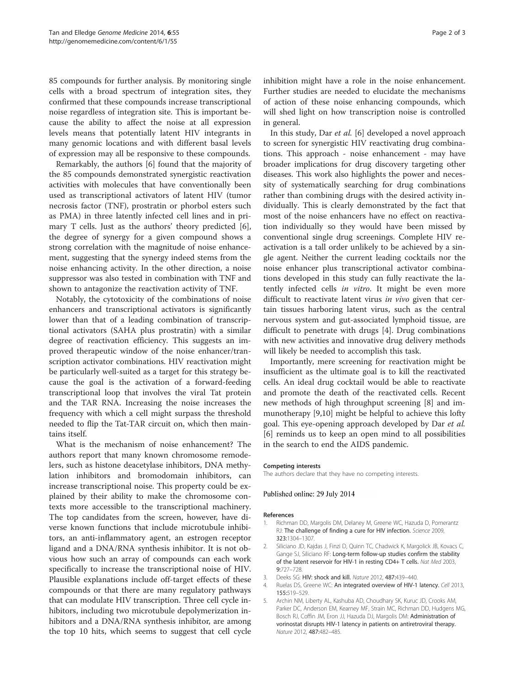<span id="page-1-0"></span>85 compounds for further analysis. By monitoring single cells with a broad spectrum of integration sites, they confirmed that these compounds increase transcriptional noise regardless of integration site. This is important because the ability to affect the noise at all expression levels means that potentially latent HIV integrants in many genomic locations and with different basal levels of expression may all be responsive to these compounds.

Remarkably, the authors [\[6](#page-2-0)] found that the majority of the 85 compounds demonstrated synergistic reactivation activities with molecules that have conventionally been used as transcriptional activators of latent HIV (tumor necrosis factor (TNF), prostratin or phorbol esters such as PMA) in three latently infected cell lines and in primary T cells. Just as the authors' theory predicted [\[6](#page-2-0)], the degree of synergy for a given compound shows a strong correlation with the magnitude of noise enhancement, suggesting that the synergy indeed stems from the noise enhancing activity. In the other direction, a noise suppressor was also tested in combination with TNF and shown to antagonize the reactivation activity of TNF.

Notably, the cytotoxicity of the combinations of noise enhancers and transcriptional activators is significantly lower than that of a leading combination of transcriptional activators (SAHA plus prostratin) with a similar degree of reactivation efficiency. This suggests an improved therapeutic window of the noise enhancer/transcription activator combinations. HIV reactivation might be particularly well-suited as a target for this strategy because the goal is the activation of a forward-feeding transcriptional loop that involves the viral Tat protein and the TAR RNA. Increasing the noise increases the frequency with which a cell might surpass the threshold needed to flip the Tat-TAR circuit on, which then maintains itself.

What is the mechanism of noise enhancement? The authors report that many known chromosome remodelers, such as histone deacetylase inhibitors, DNA methylation inhibitors and bromodomain inhibitors, can increase transcriptional noise. This property could be explained by their ability to make the chromosome contexts more accessible to the transcriptional machinery. The top candidates from the screen, however, have diverse known functions that include microtubule inhibitors, an anti-inflammatory agent, an estrogen receptor ligand and a DNA/RNA synthesis inhibitor. It is not obvious how such an array of compounds can each work specifically to increase the transcriptional noise of HIV. Plausible explanations include off-target effects of these compounds or that there are many regulatory pathways that can modulate HIV transcription. Three cell cycle inhibitors, including two microtubule depolymerization inhibitors and a DNA/RNA synthesis inhibitor, are among the top 10 hits, which seems to suggest that cell cycle

inhibition might have a role in the noise enhancement. Further studies are needed to elucidate the mechanisms of action of these noise enhancing compounds, which will shed light on how transcription noise is controlled in general.

In this study, Dar et al. [[6\]](#page-2-0) developed a novel approach to screen for synergistic HIV reactivating drug combinations. This approach - noise enhancement - may have broader implications for drug discovery targeting other diseases. This work also highlights the power and necessity of systematically searching for drug combinations rather than combining drugs with the desired activity individually. This is clearly demonstrated by the fact that most of the noise enhancers have no effect on reactivation individually so they would have been missed by conventional single drug screenings. Complete HIV reactivation is a tall order unlikely to be achieved by a single agent. Neither the current leading cocktails nor the noise enhancer plus transcriptional activator combinations developed in this study can fully reactivate the latently infected cells in vitro. It might be even more difficult to reactivate latent virus *in vivo* given that certain tissues harboring latent virus, such as the central nervous system and gut-associated lymphoid tissue, are difficult to penetrate with drugs [4]. Drug combinations with new activities and innovative drug delivery methods will likely be needed to accomplish this task.

Importantly, mere screening for reactivation might be insufficient as the ultimate goal is to kill the reactivated cells. An ideal drug cocktail would be able to reactivate and promote the death of the reactivated cells. Recent new methods of high throughput screening [[8\]](#page-2-0) and immunotherapy [\[9,10](#page-2-0)] might be helpful to achieve this lofty goal. This eye-opening approach developed by Dar et al. [[6\]](#page-2-0) reminds us to keep an open mind to all possibilities in the search to end the AIDS pandemic.

The authors declare that they have no competing interests.

### Published online: 29 July 2014

- 1. Richman DD, Margolis DM, Delaney M, Greene WC, Hazuda D, Pomerantz RJ: The challenge of finding a cure for HIV infection. Science 2009, 323:1304–1307.
- 2. Siliciano JD, Kajdas J, Finzi D, Quinn TC, Chadwick K, Margolick JB, Kovacs C, Gange SJ, Siliciano RF: Long-term follow-up studies confirm the stability of the latent reservoir for HIV-1 in resting CD4+ T cells. Nat Med 2003, 9:727–728.
- 3. Deeks SG: HIV: shock and kill. Nature 2012, 487:439–440.
- 4. Ruelas DS, Greene WC: An integrated overview of HIV-1 latency. Cell 2013, 155:519–529.
- 5. Archin NM, Liberty AL, Kashuba AD, Choudhary SK, Kuruc JD, Crooks AM, Parker DC, Anderson EM, Kearney MF, Strain MC, Richman DD, Hudgens MG, Bosch RJ, Coffin JM, Eron JJ, Hazuda DJ, Margolis DM: Administration of vorinostat disrupts HIV-1 latency in patients on antiretroviral therapy. Nature 2012, 487:482–485.